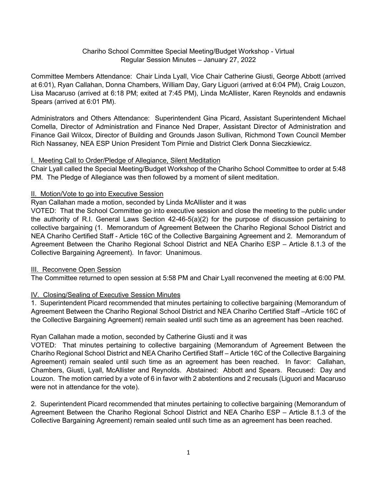#### Chariho School Committee Special Meeting/Budget Workshop - Virtual Regular Session Minutes – January 27, 2022

Committee Members Attendance: Chair Linda Lyall, Vice Chair Catherine Giusti, George Abbott (arrived at 6:01), Ryan Callahan, Donna Chambers, William Day, Gary Liguori (arrived at 6:04 PM), Craig Louzon, Lisa Macaruso (arrived at 6:18 PM; exited at 7:45 PM), Linda McAllister, Karen Reynolds and endawnis Spears (arrived at 6:01 PM).

Administrators and Others Attendance: Superintendent Gina Picard, Assistant Superintendent Michael Comella, Director of Administration and Finance Ned Draper, Assistant Director of Administration and Finance Gail Wilcox, Director of Building and Grounds Jason Sullivan, Richmond Town Council Member Rich Nassaney, NEA ESP Union President Tom Pirnie and District Clerk Donna Sieczkiewicz.

#### I. Meeting Call to Order/Pledge of Allegiance, Silent Meditation

Chair Lyall called the Special Meeting/Budget Workshop of the Chariho School Committee to order at 5:48 PM. The Pledge of Allegiance was then followed by a moment of silent meditation.

#### II. Motion/Vote to go into Executive Session

Ryan Callahan made a motion, seconded by Linda McAllister and it was

VOTED: That the School Committee go into executive session and close the meeting to the public under the authority of R.I. General Laws Section 42-46-5(a)(2) for the purpose of discussion pertaining to collective bargaining (1. Memorandum of Agreement Between the Chariho Regional School District and NEA Chariho Certified Staff - Article 16C of the Collective Bargaining Agreement and 2. Memorandum of Agreement Between the Chariho Regional School District and NEA Chariho ESP – Article 8.1.3 of the Collective Bargaining Agreement). In favor: Unanimous.

# III. Reconvene Open Session

The Committee returned to open session at 5:58 PM and Chair Lyall reconvened the meeting at 6:00 PM.

# IV. Closing/Sealing of Executive Session Minutes

1. Superintendent Picard recommended that minutes pertaining to collective bargaining (Memorandum of Agreement Between the Chariho Regional School District and NEA Chariho Certified Staff –Article 16C of the Collective Bargaining Agreement) remain sealed until such time as an agreement has been reached.

# Ryan Callahan made a motion, seconded by Catherine Giusti and it was

VOTED: That minutes pertaining to collective bargaining (Memorandum of Agreement Between the Chariho Regional School District and NEA Chariho Certified Staff – Article 16C of the Collective Bargaining Agreement) remain sealed until such time as an agreement has been reached. In favor: Callahan, Chambers, Giusti, Lyall, McAllister and Reynolds. Abstained: Abbott and Spears. Recused: Day and Louzon. The motion carried by a vote of 6 in favor with 2 abstentions and 2 recusals (Liguori and Macaruso were not in attendance for the vote).

2. Superintendent Picard recommended that minutes pertaining to collective bargaining (Memorandum of Agreement Between the Chariho Regional School District and NEA Chariho ESP – Article 8.1.3 of the Collective Bargaining Agreement) remain sealed until such time as an agreement has been reached.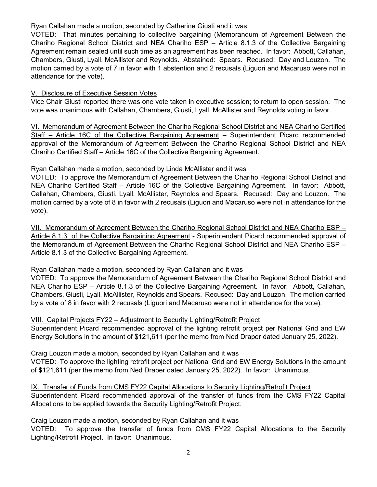#### Ryan Callahan made a motion, seconded by Catherine Giusti and it was

VOTED: That minutes pertaining to collective bargaining (Memorandum of Agreement Between the Chariho Regional School District and NEA Chariho ESP – Article 8.1.3 of the Collective Bargaining Agreement remain sealed until such time as an agreement has been reached. In favor: Abbott, Callahan, Chambers, Giusti, Lyall, McAllister and Reynolds. Abstained: Spears. Recused: Day and Louzon. The motion carried by a vote of 7 in favor with 1 abstention and 2 recusals (Liguori and Macaruso were not in attendance for the vote).

## V. Disclosure of Executive Session Votes

Vice Chair Giusti reported there was one vote taken in executive session; to return to open session. The vote was unanimous with Callahan, Chambers, Giusti, Lyall, McAllister and Reynolds voting in favor.

VI. Memorandum of Agreement Between the Chariho Regional School District and NEA Chariho Certified Staff – Article 16C of the Collective Bargaining Agreement – Superintendent Picard recommended approval of the Memorandum of Agreement Between the Chariho Regional School District and NEA Chariho Certified Staff – Article 16C of the Collective Bargaining Agreement.

#### Ryan Callahan made a motion, seconded by Linda McAllister and it was

VOTED: To approve the Memorandum of Agreement Between the Chariho Regional School District and NEA Chariho Certified Staff – Article 16C of the Collective Bargaining Agreement. In favor: Abbott, Callahan, Chambers, Giusti, Lyall, McAllister, Reynolds and Spears. Recused: Day and Louzon. The motion carried by a vote of 8 in favor with 2 recusals (Liguori and Macaruso were not in attendance for the vote).

VII. Memorandum of Agreement Between the Chariho Regional School District and NEA Chariho ESP – Article 8.1.3 of the Collective Bargaining Agreement - Superintendent Picard recommended approval of the Memorandum of Agreement Between the Chariho Regional School District and NEA Chariho ESP – Article 8.1.3 of the Collective Bargaining Agreement.

Ryan Callahan made a motion, seconded by Ryan Callahan and it was

VOTED: To approve the Memorandum of Agreement Between the Chariho Regional School District and NEA Chariho ESP – Article 8.1.3 of the Collective Bargaining Agreement. In favor: Abbott, Callahan, Chambers, Giusti, Lyall, McAllister, Reynolds and Spears. Recused: Day and Louzon. The motion carried by a vote of 8 in favor with 2 recusals (Liguori and Macaruso were not in attendance for the vote).

# VIII. Capital Projects FY22 – Adjustment to Security Lighting/Retrofit Project

Superintendent Picard recommended approval of the lighting retrofit project per National Grid and EW Energy Solutions in the amount of \$121,611 (per the memo from Ned Draper dated January 25, 2022).

# Craig Louzon made a motion, seconded by Ryan Callahan and it was

VOTED: To approve the lighting retrofit project per National Grid and EW Energy Solutions in the amount of \$121,611 (per the memo from Ned Draper dated January 25, 2022). In favor: Unanimous.

#### IX. Transfer of Funds from CMS FY22 Capital Allocations to Security Lighting/Retrofit Project Superintendent Picard recommended approval of the transfer of funds from the CMS FY22 Capital Allocations to be applied towards the Security Lighting/Retrofit Project.

Craig Louzon made a motion, seconded by Ryan Callahan and it was

VOTED: To approve the transfer of funds from CMS FY22 Capital Allocations to the Security Lighting/Retrofit Project. In favor: Unanimous.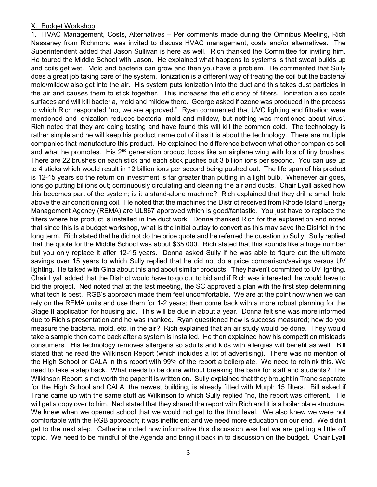#### X. Budget Workshop

1. HVAC Management, Costs, Alternatives – Per comments made during the Omnibus Meeting, Rich Nassaney from Richmond was invited to discuss HVAC management, costs and/or alternatives. The Superintendent added that Jason Sullivan is here as well. Rich thanked the Committee for inviting him. He toured the Middle School with Jason. He explained what happens to systems is that sweat builds up and coils get wet. Mold and bacteria can grow and then you have a problem. He commented that Sully does a great job taking care of the system. Ionization is a different way of treating the coil but the bacteria/ mold/mildew also get into the air. His system puts ionization into the duct and this takes dust particles in the air and causes them to stick together. This increases the efficiency of filters. Ionization also coats surfaces and will kill bacteria, mold and mildew there. George asked if ozone was produced in the process to which Rich responded "no, we are approved." Ryan commented that UVC lighting and filtration were mentioned and ionization reduces bacteria, mold and mildew, but nothing was mentioned about virus'. Rich noted that they are doing testing and have found this will kill the common cold. The technology is rather simple and he will keep his product name out of it as it is about the technology. There are multiple companies that manufacture this product. He explained the difference between what other companies sell and what he promotes. His  $2<sup>nd</sup>$  generation product looks like an airplane wing with lots of tiny brushes. There are 22 brushes on each stick and each stick pushes out 3 billion ions per second. You can use up to 4 sticks which would result in 12 billion ions per second being pushed out. The life span of his product is 12-15 years so the return on investment is far greater than putting in a light bulb. Whenever air goes, ions go putting billions out; continuously circulating and cleaning the air and ducts. Chair Lyall asked how this becomes part of the system; is it a stand-alone machine? Rich explained that they drill a small hole above the air conditioning coil. He noted that the machines the District received from Rhode Island Energy Management Agency (REMA) are UL867 approved which is good/fantastic. You just have to replace the filters where his product is installed in the duct work. Donna thanked Rich for the explanation and noted that since this is a budget workshop, what is the initial outlay to convert as this may save the District in the long term. Rich stated that he did not do the price quote and he referred the question to Sully. Sully replied that the quote for the Middle School was about \$35,000. Rich stated that this sounds like a huge number but you only replace it after 12-15 years. Donna asked Sully if he was able to figure out the ultimate savings over 15 years to which Sully replied that he did not do a price comparison/savings versus UV lighting. He talked with Gina about this and about similar products. They haven't committed to UV lighting. Chair Lyall added that the District would have to go out to bid and if Rich was interested, he would have to bid the project. Ned noted that at the last meeting, the SC approved a plan with the first step determining what tech is best. RGB's approach made them feel uncomfortable. We are at the point now when we can rely on the REMA units and use them for 1-2 years; then come back with a more robust planning for the Stage II application for housing aid. This will be due in about a year. Donna felt she was more informed due to Rich's presentation and he was thanked. Ryan questioned how is success measured; how do you measure the bacteria, mold, etc. in the air? Rich explained that an air study would be done. They would take a sample then come back after a system is installed. He then explained how his competition misleads consumers. His technology removes allergens so adults and kids with allergies will benefit as well. Bill stated that he read the Wilkinson Report (which includes a lot of advertising). There was no mention of the High School or CALA in this report with 99% of the report a boilerplate. We need to rethink this. We need to take a step back. What needs to be done without breaking the bank for staff and students? The Wilkinson Report is not worth the paper it is written on. Sully explained that they brought in Trane separate for the High School and CALA, the newest building, is already fitted with Murph 15 filters. Bill asked if Trane came up with the same stuff as Wilkinson to which Sully replied "no, the report was different." He will get a copy over to him. Ned stated that they shared the report with Rich and it is a boiler plate structure. We knew when we opened school that we would not get to the third level. We also knew we were not comfortable with the RGB approach; it was inefficient and we need more education on our end. We didn't get to the next step. Catherine noted how informative this discussion was but we are getting a little off topic. We need to be mindful of the Agenda and bring it back in to discussion on the budget. Chair Lyall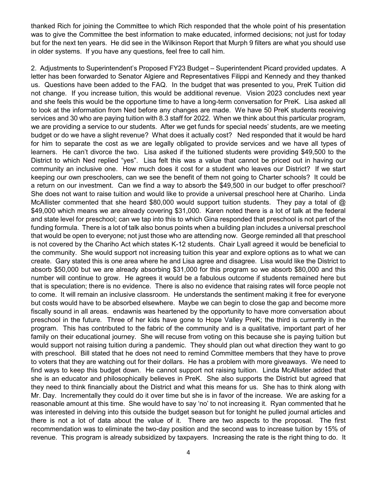thanked Rich for joining the Committee to which Rich responded that the whole point of his presentation was to give the Committee the best information to make educated, informed decisions; not just for today but for the next ten years. He did see in the Wilkinson Report that Murph 9 filters are what you should use in older systems. If you have any questions, feel free to call him.

2. Adjustments to Superintendent's Proposed FY23 Budget – Superintendent Picard provided updates. A letter has been forwarded to Senator Algiere and Representatives Filippi and Kennedy and they thanked us. Questions have been added to the FAQ. In the budget that was presented to you, PreK Tuition did not change. If you increase tuition, this would be additional revenue. Vision 2023 concludes next year and she feels this would be the opportune time to have a long-term conversation for PreK. Lisa asked all to look at the information from Ned before any changes are made. We have 50 PreK students receiving services and 30 who are paying tuition with 8.3 staff for 2022. When we think about this particular program, we are providing a service to our students. After we get funds for special needs' students, are we meeting budget or do we have a slight revenue? What does it actually cost? Ned responded that it would be hard for him to separate the cost as we are legally obligated to provide services and we have all types of learners. He can't divorce the two. Lisa asked if the tuitioned students were providing \$49,500 to the District to which Ned replied "yes". Lisa felt this was a value that cannot be priced out in having our community an inclusive one. How much does it cost for a student who leaves our District? If we start keeping our own preschoolers, can we see the benefit of them not going to Charter schools? It could be a return on our investment. Can we find a way to absorb the \$49,500 in our budget to offer preschool? She does not want to raise tuition and would like to provide a universal preschool here at Chariho. Linda McAllister commented that she heard \$80,000 would support tuition students. They pay a total of  $\omega$ \$49,000 which means we are already covering \$31,000. Karen noted there is a lot of talk at the federal and state level for preschool; can we tap into this to which Gina responded that preschool is not part of the funding formula. There is a lot of talk also bonus points when a building plan includes a universal preschool that would be open to everyone; not just those who are attending now. George reminded all that preschool is not covered by the Chariho Act which states K-12 students. Chair Lyall agreed it would be beneficial to the community. She would support not increasing tuition this year and explore options as to what we can create. Gary stated this is one area where he and Lisa agree and disagree. Lisa would like the District to absorb \$50,000 but we are already absorbing \$31,000 for this program so we absorb \$80,000 and this number will continue to grow. He agrees it would be a fabulous outcome if students remained here but that is speculation; there is no evidence. There is also no evidence that raising rates will force people not to come. It will remain an inclusive classroom. He understands the sentiment making it free for everyone but costs would have to be absorbed elsewhere. Maybe we can begin to close the gap and become more fiscally sound in all areas. endawnis was heartened by the opportunity to have more conversation about preschool in the future. Three of her kids have gone to Hope Valley PreK; the third is currently in the program. This has contributed to the fabric of the community and is a qualitative, important part of her family on their educational journey. She will recuse from voting on this because she is paying tuition but would support not raising tuition during a pandemic. They should plan out what direction they want to go with preschool. Bill stated that he does not need to remind Committee members that they have to prove to voters that they are watching out for their dollars. He has a problem with more giveaways. We need to find ways to keep this budget down. He cannot support not raising tuition. Linda McAllister added that she is an educator and philosophically believes in PreK. She also supports the District but agreed that they need to think financially about the District and what this means for us. She has to think along with Mr. Day. Incrementally they could do it over time but she is in favor of the increase. We are asking for a reasonable amount at this time. She would have to say 'no' to not increasing it. Ryan commented that he was interested in delving into this outside the budget season but for tonight he pulled journal articles and there is not a lot of data about the value of it. There are two aspects to the proposal. The first recommendation was to eliminate the two-day position and the second was to increase tuition by 15% of revenue. This program is already subsidized by taxpayers. Increasing the rate is the right thing to do. It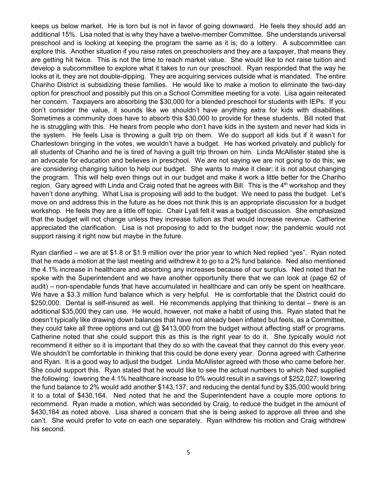keeps us below market. He is torn but is not in favor of going downward. He feels they should add an additional 15%. Lisa noted that is why they have a twelve-member Committee. She understands universal preschool and is looking at keeping the program the same as it is; do a lottery. A subcommittee can explore this. Another situation if you raise rates on preschoolers and they are a taxpayer, that means they are getting hit twice. This is not the time to reach market value. She would like to not raise tuition and develop a subcommittee to explore what it takes to run our preschool. Ryan responded that the way he looks at it, they are not double-dipping. They are acquiring services outside what is mandated. The entire Chariho District is subsidizing these families. He would like to make a motion to eliminate the two-day option for preschool and possibly put this on a School Committee meeting for a vote. Lisa again reiterated her concern. Taxpayers are absorbing the \$30,000 for a blended preschool for students with IEPs. If you don't consider the value, it sounds like we shouldn't have anything extra for kids with disabilities. Sometimes a community does have to absorb this \$30,000 to provide for these students. Bill noted that he is struggling with this. He hears from people who don't have kids in the system and never had kids in the system. He feels Lisa is throwing a guilt trip on them. We do support all kids but if it wasn't for Charlestown bringing in the votes, we wouldn't have a budget. He has worked privately and publicly for all students of Chariho and he is tired of having a guilt trip thrown on him. Linda McAllister stated she is an advocate for education and believes in preschool. We are not saying we are not going to do this; we are considering changing tuition to help our budget. She wants to make it clear; it is not about changing the program. This will help even things out in our budget and make it work a little better for the Chariho region. Gary agreed with Linda and Craig noted that he agrees with Bill. This is the 4<sup>th</sup> workshop and they haven't done anything. What Lisa is proposing will add to the budget. We need to pass the budget. Let's move on and address this in the future as he does not think this is an appropriate discussion for a budget workshop. He feels they are a little off topic. Chair Lyall felt it was a budget discussion. She emphasized that the budget will not change unless they increase tuition as that would increase revenue. Catherine appreciated the clarification. Lisa is not proposing to add to the budget now; the pandemic would not support raising it right now but maybe in the future.

Ryan clarified – we are at \$1.8 or \$1.9 million over the prior year to which Ned replied "yes". Ryan noted that he made a motion at the last meeting and withdrew it to go to a 2% fund balance. Ned also mentioned the 4.1% increase in healthcare and absorbing any increases because of our surplus. Ned noted that he spoke with the Superintendent and we have another opportunity there that we can look at (page 62 of audit) – non-spendable funds that have accumulated in healthcare and can only be spent on healthcare. We have a \$3.3 million fund balance which is very helpful. He is comfortable that the District could do \$250,000. Dental is self-insured as well. He recommends applying that thinking to dental – there is an additional \$35,000 they can use. He would, however, not make a habit of using this. Ryan stated that he doesn't typically like drawing down balances that have not already been inflated but feels, as a Committee, they could take all three options and cut  $@$  \$413,000 from the budget without affecting staff or programs. Catherine noted that she could support this as this is the right year to do it. She typically would not recommend it either so it is important that they do so with the caveat that they cannot do this every year. We shouldn't be comfortable in thinking that this could be done every year. Donna agreed with Catherine and Ryan. It is a good way to adjust the budget. Linda McAllister agreed with those who came before her. She could support this. Ryan stated that he would like to see the actual numbers to which Ned supplied the following: lowering the 4.1% healthcare increase to 0% would result in a savings of \$252,027; lowering the fund balance to 2% would add another \$143,137; and reducing the dental fund by \$35,000 would bring it to a total of \$430,164. Ned noted that he and the Superintendent have a couple more options to recommend. Ryan made a motion, which was seconded by Craig, to reduce the budget in the amount of \$430,164 as noted above. Lisa shared a concern that she is being asked to approve all three and she can't. She would prefer to vote on each one separately. Ryan withdrew his motion and Craig withdrew his second.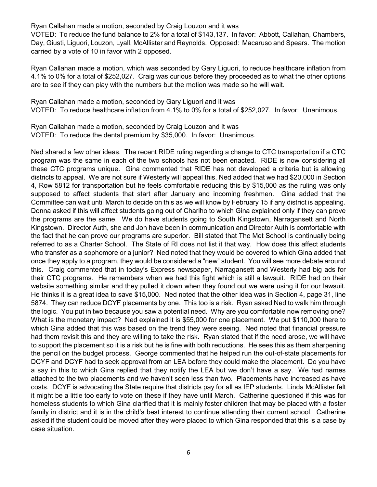Ryan Callahan made a motion, seconded by Craig Louzon and it was

VOTED: To reduce the fund balance to 2% for a total of \$143,137. In favor: Abbott, Callahan, Chambers, Day, Giusti, Liguori, Louzon, Lyall, McAllister and Reynolds. Opposed: Macaruso and Spears. The motion carried by a vote of 10 in favor with 2 opposed.

Ryan Callahan made a motion, which was seconded by Gary Liguori, to reduce healthcare inflation from 4.1% to 0% for a total of \$252,027. Craig was curious before they proceeded as to what the other options are to see if they can play with the numbers but the motion was made so he will wait.

Ryan Callahan made a motion, seconded by Gary Liguori and it was VOTED: To reduce healthcare inflation from 4.1% to 0% for a total of \$252,027. In favor: Unanimous.

Ryan Callahan made a motion, seconded by Craig Louzon and it was VOTED: To reduce the dental premium by \$35,000. In favor: Unanimous.

Ned shared a few other ideas. The recent RIDE ruling regarding a change to CTC transportation if a CTC program was the same in each of the two schools has not been enacted. RIDE is now considering all these CTC programs unique. Gina commented that RIDE has not developed a criteria but is allowing districts to appeal. We are not sure if Westerly will appeal this. Ned added that we had \$20,000 in Section 4, Row 5812 for transportation but he feels comfortable reducing this by \$15,000 as the ruling was only supposed to affect students that start after January and incoming freshmen. Gina added that the Committee can wait until March to decide on this as we will know by February 15 if any district is appealing. Donna asked if this will affect students going out of Chariho to which Gina explained only if they can prove the programs are the same. We do have students going to South Kingstown, Narragansett and North Kingstown. Director Auth, she and Jon have been in communication and Director Auth is comfortable with the fact that he can prove our programs are superior. Bill stated that The Met School is continually being referred to as a Charter School. The State of RI does not list it that way. How does this affect students who transfer as a sophomore or a junior? Ned noted that they would be covered to which Gina added that once they apply to a program, they would be considered a "new" student. You will see more debate around this. Craig commented that in today's Express newspaper, Narragansett and Westerly had big ads for their CTC programs. He remembers when we had this fight which is still a lawsuit. RIDE had on their website something similar and they pulled it down when they found out we were using it for our lawsuit. He thinks it is a great idea to save \$15,000. Ned noted that the other idea was in Section 4, page 31, line 5874. They can reduce DCYF placements by one. This too is a risk. Ryan asked Ned to walk him through the logic. You put in two because you saw a potential need. Why are you comfortable now removing one? What is the monetary impact? Ned explained it is \$55,000 for one placement. We put \$110,000 there to which Gina added that this was based on the trend they were seeing. Ned noted that financial pressure had them revisit this and they are willing to take the risk. Ryan stated that if the need arose, we will have to support the placement so it is a risk but he is fine with both reductions. He sees this as them sharpening the pencil on the budget process. George commented that he helped run the out-of-state placements for DCYF and DCYF had to seek approval from an LEA before they could make the placement. Do you have a say in this to which Gina replied that they notify the LEA but we don't have a say. We had names attached to the two placements and we haven't seen less than two. Placements have increased as have costs. DCYF is advocating the State require that districts pay for all as IEP students. Linda McAllister felt it might be a little too early to vote on these if they have until March. Catherine questioned if this was for homeless students to which Gina clarified that it is mainly foster children that may be placed with a foster family in district and it is in the child's best interest to continue attending their current school. Catherine asked if the student could be moved after they were placed to which Gina responded that this is a case by case situation.